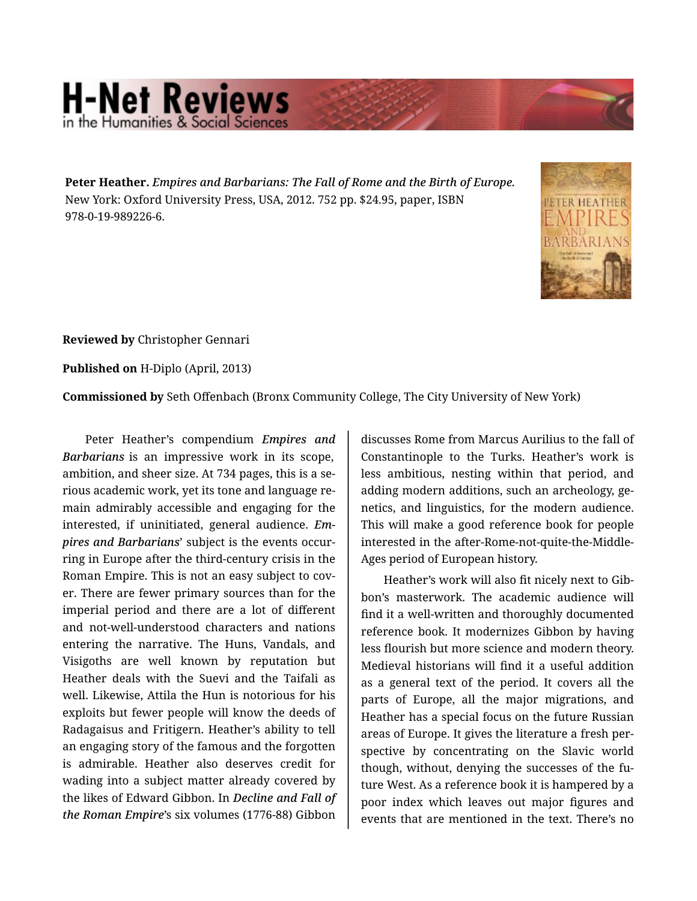## **H-Net Reviews** in the Humanities & Social S

**Peter Heather.** *Empires and Barbarians: The Fall of Rome and the Birth of Europe.*  New York: Oxford University Press, USA, 2012. 752 pp. \$24.95, paper, ISBN 978-0-19-989226-6.



**Reviewed by** Christopher Gennari

**Published on** H-Diplo (April, 2013)

**Commissioned by** Seth Offenbach (Bronx Community College, The City University of New York)

Peter Heather's compendium *Empires and Barbarians* is an impressive work in its scope, ambition, and sheer size. At 734 pages, this is a se‐ rious academic work, yet its tone and language re‐ main admirably accessible and engaging for the interested, if uninitiated, general audience. *Em‐ pires and Barbarians*' subject is the events occur‐ ring in Europe after the third-century crisis in the Roman Empire. This is not an easy subject to cov‐ er. There are fewer primary sources than for the imperial period and there are a lot of different and not-well-understood characters and nations entering the narrative. The Huns, Vandals, and Visigoths are well known by reputation but Heather deals with the Suevi and the Taifali as well. Likewise, Attila the Hun is notorious for his exploits but fewer people will know the deeds of Radagaisus and Fritigern. Heather's ability to tell an engaging story of the famous and the forgotten is admirable. Heather also deserves credit for wading into a subject matter already covered by the likes of Edward Gibbon. In *Decline and Fall of the Roman Empire*'s six volumes (1776-88) Gibbon

discusses Rome from Marcus Aurilius to the fall of Constantinople to the Turks. Heather's work is less ambitious, nesting within that period, and adding modern additions, such an archeology, ge‐ netics, and linguistics, for the modern audience. This will make a good reference book for people interested in the after-Rome-not-quite-the-Middle-Ages period of European history.

Heather's work will also fit nicely next to Gib‐ bon's masterwork. The academic audience will find it a well-written and thoroughly documented reference book. It modernizes Gibbon by having less flourish but more science and modern theory. Medieval historians will find it a useful addition as a general text of the period. It covers all the parts of Europe, all the major migrations, and Heather has a special focus on the future Russian areas of Europe. It gives the literature a fresh per‐ spective by concentrating on the Slavic world though, without, denying the successes of the fu‐ ture West. As a reference book it is hampered by a poor index which leaves out major figures and events that are mentioned in the text. There's no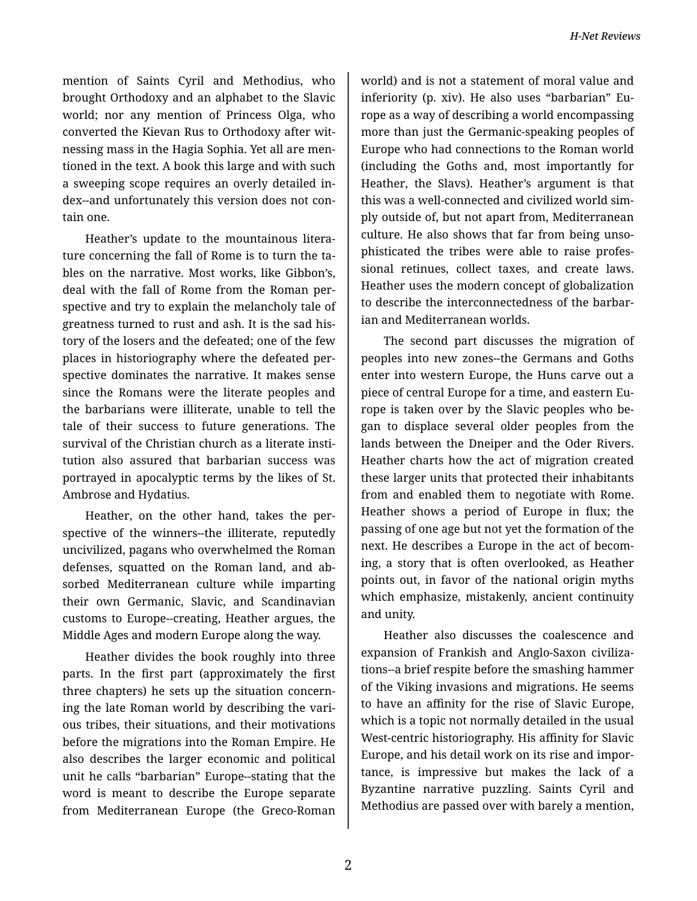mention of Saints Cyril and Methodius, who brought Orthodoxy and an alphabet to the Slavic world; nor any mention of Princess Olga, who converted the Kievan Rus to Orthodoxy after wit‐ nessing mass in the Hagia Sophia. Yet all are men‐ tioned in the text. A book this large and with such a sweeping scope requires an overly detailed in‐ dex--and unfortunately this version does not con‐ tain one.

Heather's update to the mountainous litera‐ ture concerning the fall of Rome is to turn the ta‐ bles on the narrative. Most works, like Gibbon's, deal with the fall of Rome from the Roman per‐ spective and try to explain the melancholy tale of greatness turned to rust and ash. It is the sad his‐ tory of the losers and the defeated; one of the few places in historiography where the defeated per‐ spective dominates the narrative. It makes sense since the Romans were the literate peoples and the barbarians were illiterate, unable to tell the tale of their success to future generations. The survival of the Christian church as a literate insti‐ tution also assured that barbarian success was portrayed in apocalyptic terms by the likes of St. Ambrose and Hydatius.

Heather, on the other hand, takes the per‐ spective of the winners--the illiterate, reputedly uncivilized, pagans who overwhelmed the Roman defenses, squatted on the Roman land, and ab‐ sorbed Mediterranean culture while imparting their own Germanic, Slavic, and Scandinavian customs to Europe--creating, Heather argues, the Middle Ages and modern Europe along the way.

Heather divides the book roughly into three parts. In the first part (approximately the first three chapters) he sets up the situation concern‐ ing the late Roman world by describing the vari‐ ous tribes, their situations, and their motivations before the migrations into the Roman Empire. He also describes the larger economic and political unit he calls "barbarian" Europe--stating that the word is meant to describe the Europe separate from Mediterranean Europe (the Greco-Roman

world) and is not a statement of moral value and inferiority (p. xiv). He also uses "barbarian" Eu‐ rope as a way of describing a world encompassing more than just the Germanic-speaking peoples of Europe who had connections to the Roman world (including the Goths and, most importantly for Heather, the Slavs). Heather's argument is that this was a well-connected and civilized world sim‐ ply outside of, but not apart from, Mediterranean culture. He also shows that far from being unso‐ phisticated the tribes were able to raise profes‐ sional retinues, collect taxes, and create laws. Heather uses the modern concept of globalization to describe the interconnectedness of the barbar‐ ian and Mediterranean worlds.

The second part discusses the migration of peoples into new zones--the Germans and Goths enter into western Europe, the Huns carve out a piece of central Europe for a time, and eastern Eu‐ rope is taken over by the Slavic peoples who be‐ gan to displace several older peoples from the lands between the Dneiper and the Oder Rivers. Heather charts how the act of migration created these larger units that protected their inhabitants from and enabled them to negotiate with Rome. Heather shows a period of Europe in flux; the passing of one age but not yet the formation of the next. He describes a Europe in the act of becom‐ ing, a story that is often overlooked, as Heather points out, in favor of the national origin myths which emphasize, mistakenly, ancient continuity and unity.

Heather also discusses the coalescence and expansion of Frankish and Anglo-Saxon civiliza‐ tions--a brief respite before the smashing hammer of the Viking invasions and migrations. He seems to have an affinity for the rise of Slavic Europe, which is a topic not normally detailed in the usual West-centric historiography. His affinity for Slavic Europe, and his detail work on its rise and impor‐ tance, is impressive but makes the lack of a Byzantine narrative puzzling. Saints Cyril and Methodius are passed over with barely a mention,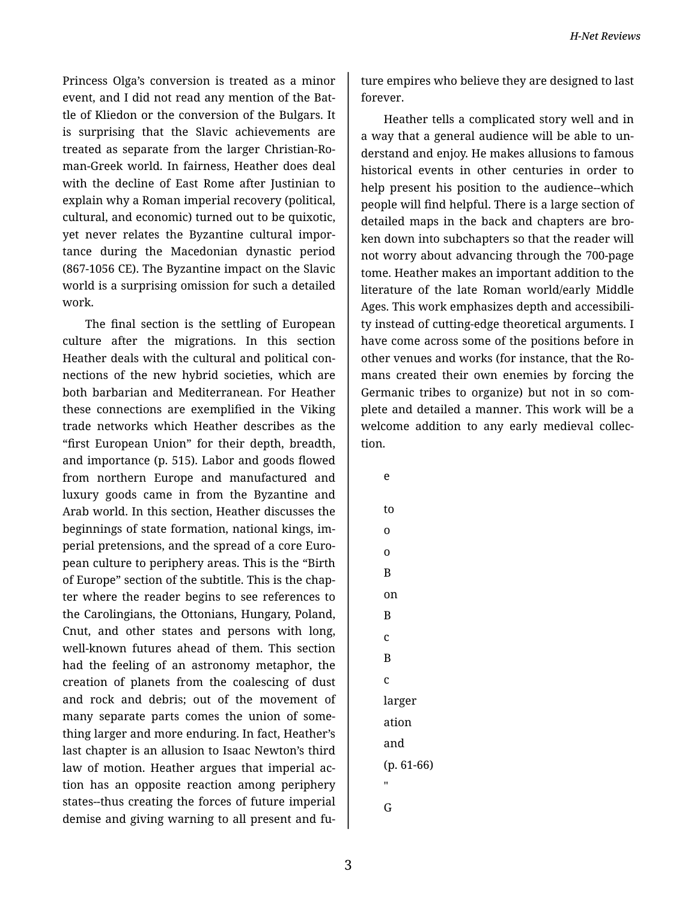Princess Olga's conversion is treated as a minor event, and I did not read any mention of the Bat‐ tle of Kliedon or the conversion of the Bulgars. It is surprising that the Slavic achievements are treated as separate from the larger Christian-Ro‐ man-Greek world. In fairness, Heather does deal with the decline of East Rome after Justinian to explain why a Roman imperial recovery (political, cultural, and economic) turned out to be quixotic, yet never relates the Byzantine cultural impor‐ tance during the Macedonian dynastic period (867-1056 CE). The Byzantine impact on the Slavic world is a surprising omission for such a detailed work.

The final section is the settling of European culture after the migrations. In this section Heather deals with the cultural and political con‐ nections of the new hybrid societies, which are both barbarian and Mediterranean. For Heather these connections are exemplified in the Viking trade networks which Heather describes as the "first European Union" for their depth, breadth, and importance (p. 515). Labor and goods flowed from northern Europe and manufactured and luxury goods came in from the Byzantine and Arab world. In this section, Heather discusses the beginnings of state formation, national kings, im‐ perial pretensions, and the spread of a core Euro‐ pean culture to periphery areas. This is the "Birth of Europe" section of the subtitle. This is the chap‐ ter where the reader begins to see references to the Carolingians, the Ottonians, Hungary, Poland, Cnut, and other states and persons with long, well-known futures ahead of them. This section had the feeling of an astronomy metaphor, the creation of planets from the coalescing of dust and rock and debris; out of the movement of many separate parts comes the union of some‐ thing larger and more enduring. In fact, Heather's last chapter is an allusion to Isaac Newton's third law of motion. Heather argues that imperial ac‐ tion has an opposite reaction among periphery states--thus creating the forces of future imperial demise and giving warning to all present and fu‐

ture empires who believe they are designed to last forever.

Heather tells a complicated story well and in a way that a general audience will be able to un‐ derstand and enjoy. He makes allusions to famous historical events in other centuries in order to help present his position to the audience--which people will find helpful. There is a large section of detailed maps in the back and chapters are bro‐ ken down into subchapters so that the reader will not worry about advancing through the 700-page tome. Heather makes an important addition to the literature of the late Roman world/early Middle Ages. This work emphasizes depth and accessibili‐ ty instead of cutting-edge theoretical arguments. I have come across some of the positions before in other venues and works (for instance, that the Ro‐ mans created their own enemies by forcing the Germanic tribes to organize) but not in so com‐ plete and detailed a manner. This work will be a welcome addition to any early medieval collec‐ tion.

- e to o o B on B c B c larger ation and
- (p. 61-66) ..
- G
-